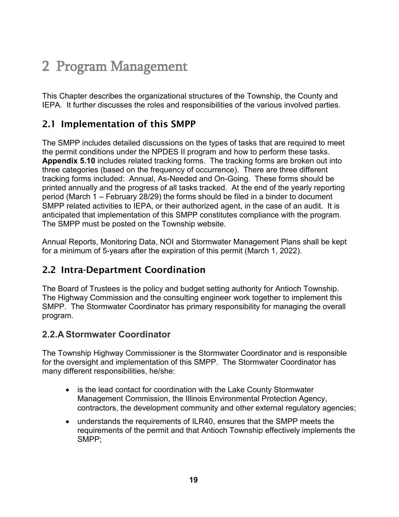# 2 Program Management

This Chapter describes the organizational structures of the Township, the County and IEPA. It further discusses the roles and responsibilities of the various involved parties.

## 2.1 Implementation of this SMPP

The SMPP includes detailed discussions on the types of tasks that are required to meet the permit conditions under the NPDES II program and how to perform these tasks. **Appendix 5.10** includes related tracking forms. The tracking forms are broken out into three categories (based on the frequency of occurrence). There are three different tracking forms included: Annual, As-Needed and On-Going. These forms should be printed annually and the progress of all tasks tracked. At the end of the yearly reporting period (March 1 – February 28/29) the forms should be filed in a binder to document SMPP related activities to IEPA, or their authorized agent, in the case of an audit. It is anticipated that implementation of this SMPP constitutes compliance with the program. The SMPP must be posted on the Township website.

Annual Reports, Monitoring Data, NOI and Stormwater Management Plans shall be kept for a minimum of 5-years after the expiration of this permit (March 1, 2022).

## 2.2 Intra-Department Coordination

The Board of Trustees is the policy and budget setting authority for Antioch Township. The Highway Commission and the consulting engineer work together to implement this SMPP. The Stormwater Coordinator has primary responsibility for managing the overall program.

## **2.2.A Stormwater Coordinator**

The Township Highway Commissioner is the Stormwater Coordinator and is responsible for the oversight and implementation of this SMPP. The Stormwater Coordinator has many different responsibilities, he/she:

- is the lead contact for coordination with the Lake County Stormwater Management Commission, the Illinois Environmental Protection Agency, contractors, the development community and other external regulatory agencies;
- understands the requirements of ILR40, ensures that the SMPP meets the requirements of the permit and that Antioch Township effectively implements the SMPP;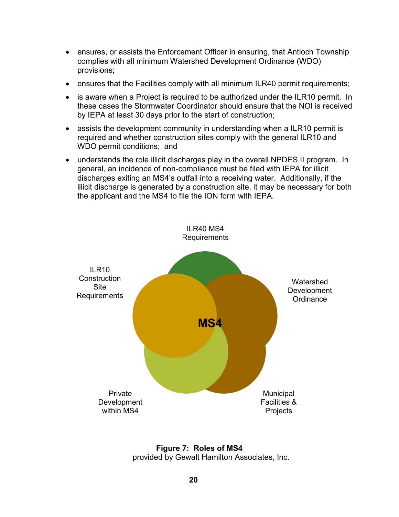- ensures, or assists the Enforcement Officer in ensuring, that Antioch Township complies with all minimum Watershed Development Ordinance (WDO) provisions;
- ensures that the Facilities comply with all minimum ILR40 permit requirements;
- is aware when a Project is required to be authorized under the ILR10 permit. In these cases the Stormwater Coordinator should ensure that the NOI is received by IEPA at least 30 days prior to the start of construction;
- assists the development community in understanding when a ILR10 permit is required and whether construction sites comply with the general ILR10 and WDO permit conditions; and
- understands the role illicit discharges play in the overall NPDES II program. In general, an incidence of non-compliance must be filed with IEPA for illicit discharges exiting an MS4's outfall into a receiving water. Additionally, if the illicit discharge is generated by a construction site, it may be necessary for both the applicant and the MS4 to file the ION form with IEPA.



**Figure 7: Roles of MS4** provided by Gewalt Hamilton Associates, Inc.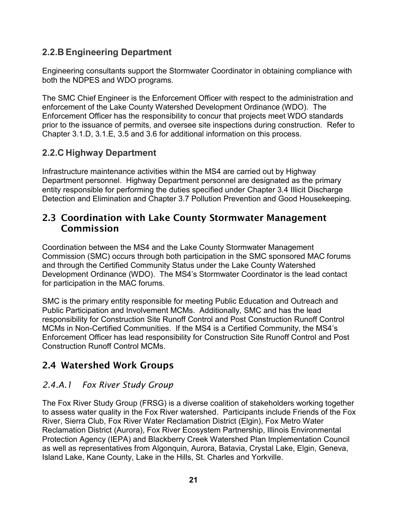## **2.2.B Engineering Department**

Engineering consultants support the Stormwater Coordinator in obtaining compliance with both the NDPES and WDO programs.

The SMC Chief Engineer is the Enforcement Officer with respect to the administration and enforcement of the Lake County Watershed Development Ordinance (WDO). The Enforcement Officer has the responsibility to concur that projects meet WDO standards prior to the issuance of permits, and oversee site inspections during construction. Refer to Chapter 3.1.D, 3.1.E, 3.5 and 3.6 for additional information on this process.

## **2.2.C Highway Department**

Infrastructure maintenance activities within the MS4 are carried out by Highway Department personnel. Highway Department personnel are designated as the primary entity responsible for performing the duties specified under Chapter 3.4 Illicit Discharge Detection and Elimination and Chapter 3.7 Pollution Prevention and Good Housekeeping.

## 2.3 Coordination with Lake County Stormwater Management Commission

Coordination between the MS4 and the Lake County Stormwater Management Commission (SMC) occurs through both participation in the SMC sponsored MAC forums and through the Certified Community Status under the Lake County Watershed Development Ordinance (WDO). The MS4's Stormwater Coordinator is the lead contact for participation in the MAC forums.

SMC is the primary entity responsible for meeting Public Education and Outreach and Public Participation and Involvement MCMs. Additionally, SMC and has the lead responsibility for Construction Site Runoff Control and Post Construction Runoff Control MCMs in Non-Certified Communities. If the MS4 is a Certified Community, the MS4's Enforcement Officer has lead responsibility for Construction Site Runoff Control and Post Construction Runoff Control MCMs.

# 2.4 Watershed Work Groups

#### *2.4.A.1 Fox River Study Group*

The Fox River Study Group (FRSG) is a diverse coalition of stakeholders working together to assess water quality in the Fox River watershed. Participants include Friends of the Fox River, Sierra Club, Fox River Water Reclamation District (Elgin), Fox Metro Water Reclamation District (Aurora), Fox River Ecosystem Partnership, Illinois Environmental Protection Agency (IEPA) and Blackberry Creek Watershed Plan Implementation Council as well as representatives from Algonquin, Aurora, Batavia, Crystal Lake, Elgin, Geneva, Island Lake, Kane County, Lake in the Hills, St. Charles and Yorkville.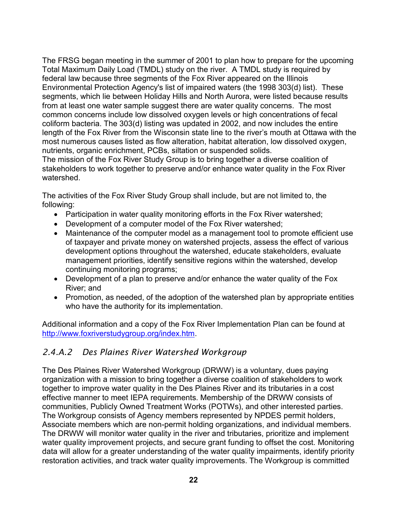The FRSG began meeting in the summer of 2001 to plan how to prepare for the upcoming Total Maximum Daily Load (TMDL) study on the river. A TMDL study is required by federal law because three segments of the Fox River appeared on the Illinois Environmental Protection Agency's list of impaired waters (the 1998 303(d) list). These segments, which lie between Holiday Hills and North Aurora, were listed because results from at least one water sample suggest there are water quality concerns. The most common concerns include low dissolved oxygen levels or high concentrations of fecal coliform bacteria. The 303(d) listing was updated in 2002, and now includes the entire length of the Fox River from the Wisconsin state line to the river's mouth at Ottawa with the most numerous causes listed as flow alteration, habitat alteration, low dissolved oxygen, nutrients, organic enrichment, PCBs, siltation or suspended solids.

The mission of the Fox River Study Group is to bring together a diverse coalition of stakeholders to work together to preserve and/or enhance water quality in the Fox River watershed.

The activities of the Fox River Study Group shall include, but are not limited to, the following:

- Participation in water quality monitoring efforts in the Fox River watershed;
- Development of a computer model of the Fox River watershed;
- Maintenance of the computer model as a management tool to promote efficient use of taxpayer and private money on watershed projects, assess the effect of various development options throughout the watershed, educate stakeholders, evaluate management priorities, identify sensitive regions within the watershed, develop continuing monitoring programs;
- Development of a plan to preserve and/or enhance the water quality of the Fox River; and
- Promotion, as needed, of the adoption of the watershed plan by appropriate entities who have the authority for its implementation.

Additional information and a copy of the Fox River Implementation Plan can be found at [http://www.foxriverstudygroup.org/index.htm.](http://www.foxriverstudygroup.org/index.htm)

#### *2.4.A.2 Des Plaines River Watershed Workgroup*

The Des Plaines River Watershed Workgroup (DRWW) is a voluntary, dues paying organization with a mission to bring together a diverse coalition of stakeholders to work together to improve water quality in the Des Plaines River and its tributaries in a cost effective manner to meet IEPA requirements. Membership of the DRWW consists of communities, Publicly Owned Treatment Works (POTWs), and other interested parties. The Workgroup consists of Agency members represented by NPDES permit holders, Associate members which are non-permit holding organizations, and individual members. The DRWW will monitor water quality in the river and tributaries, prioritize and implement water quality improvement projects, and secure grant funding to offset the cost. Monitoring data will allow for a greater understanding of the water quality impairments, identify priority restoration activities, and track water quality improvements. The Workgroup is committed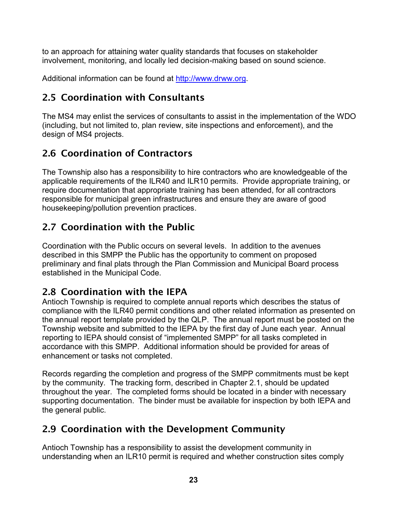to an approach for attaining water quality standards that focuses on stakeholder involvement, monitoring, and locally led decision-making based on sound science.

Additional information can be found at [http://www.drww.org.](http://www.drww.org/)

# 2.5 Coordination with Consultants

The MS4 may enlist the services of consultants to assist in the implementation of the WDO (including, but not limited to, plan review, site inspections and enforcement), and the design of MS4 projects.

# 2.6 Coordination of Contractors

The Township also has a responsibility to hire contractors who are knowledgeable of the applicable requirements of the ILR40 and ILR10 permits. Provide appropriate training, or require documentation that appropriate training has been attended, for all contractors responsible for municipal green infrastructures and ensure they are aware of good housekeeping/pollution prevention practices.

# 2.7 Coordination with the Public

Coordination with the Public occurs on several levels. In addition to the avenues described in this SMPP the Public has the opportunity to comment on proposed preliminary and final plats through the Plan Commission and Municipal Board process established in the Municipal Code.

## 2.8 Coordination with the IEPA

Antioch Township is required to complete annual reports which describes the status of compliance with the ILR40 permit conditions and other related information as presented on the annual report template provided by the QLP. The annual report must be posted on the Township website and submitted to the IEPA by the first day of June each year. Annual reporting to IEPA should consist of "implemented SMPP" for all tasks completed in accordance with this SMPP. Additional information should be provided for areas of enhancement or tasks not completed.

Records regarding the completion and progress of the SMPP commitments must be kept by the community. The tracking form, described in Chapter 2.1, should be updated throughout the year. The completed forms should be located in a binder with necessary supporting documentation. The binder must be available for inspection by both IEPA and the general public.

# 2.9 Coordination with the Development Community

Antioch Township has a responsibility to assist the development community in understanding when an ILR10 permit is required and whether construction sites comply